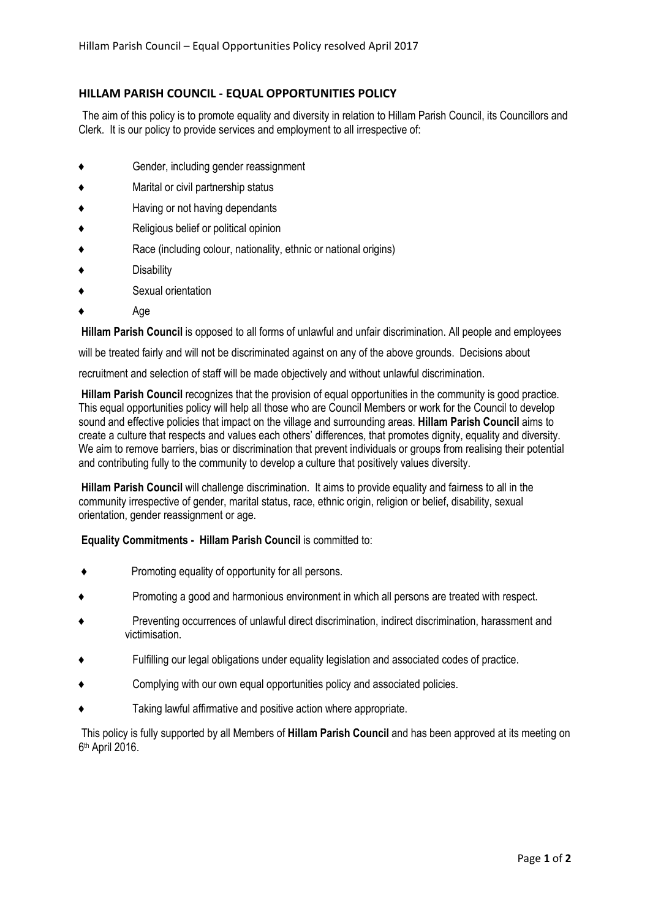## HILLAM PARISH COUNCIL - EQUAL OPPORTUNITIES POLICY

The aim of this policy is to promote equality and diversity in relation to Hillam Parish Council, its Councillors and Clerk. It is our policy to provide services and employment to all irrespective of:

- Gender, including gender reassignment
- Marital or civil partnership status
- Having or not having dependants
- Religious belief or political opinion
- Race (including colour, nationality, ethnic or national origins)
- Disability
- Sexual orientation
- Age

Hillam Parish Council is opposed to all forms of unlawful and unfair discrimination. All people and employees

will be treated fairly and will not be discriminated against on any of the above grounds. Decisions about

recruitment and selection of staff will be made objectively and without unlawful discrimination.

Hillam Parish Council recognizes that the provision of equal opportunities in the community is good practice. This equal opportunities policy will help all those who are Council Members or work for the Council to develop sound and effective policies that impact on the village and surrounding areas. Hillam Parish Council aims to create a culture that respects and values each others' differences, that promotes dignity, equality and diversity. We aim to remove barriers, bias or discrimination that prevent individuals or groups from realising their potential and contributing fully to the community to develop a culture that positively values diversity.

Hillam Parish Council will challenge discrimination. It aims to provide equality and fairness to all in the community irrespective of gender, marital status, race, ethnic origin, religion or belief, disability, sexual orientation, gender reassignment or age.

## Equality Commitments - Hillam Parish Council is committed to:

- ♦ Promoting equality of opportunity for all persons.
- ♦ Promoting a good and harmonious environment in which all persons are treated with respect.
- Preventing occurrences of unlawful direct discrimination, indirect discrimination, harassment and victimisation.
- Fulfilling our legal obligations under equality legislation and associated codes of practice.
- Complying with our own equal opportunities policy and associated policies.
- Taking lawful affirmative and positive action where appropriate.

This policy is fully supported by all Members of Hillam Parish Council and has been approved at its meeting on 6th April 2016.